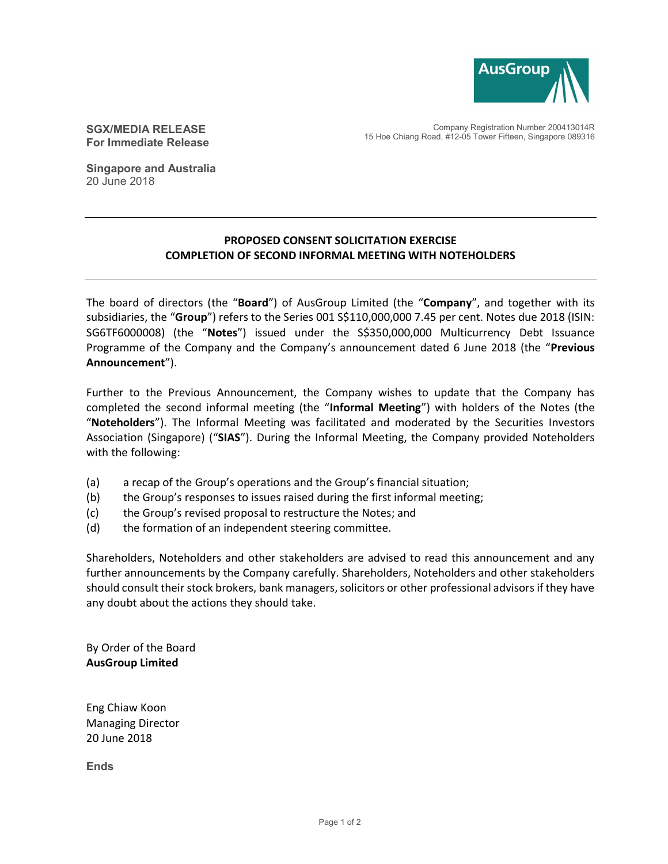

SGX/MEDIA RELEASE For Immediate Release

Company Registration Number 200413014R 15 Hoe Chiang Road, #12-05 Tower Fifteen, Singapore 089316

Singapore and Australia 20 June 2018

## PROPOSED CONSENT SOLICITATION EXERCISE COMPLETION OF SECOND INFORMAL MEETING WITH NOTEHOLDERS

The board of directors (the "Board") of AusGroup Limited (the "Company", and together with its subsidiaries, the "Group") refers to the Series 001 S\$110,000,000 7.45 per cent. Notes due 2018 (ISIN: SG6TF6000008) (the "Notes") issued under the S\$350,000,000 Multicurrency Debt Issuance Programme of the Company and the Company's announcement dated 6 June 2018 (the "Previous Announcement").

Further to the Previous Announcement, the Company wishes to update that the Company has completed the second informal meeting (the "Informal Meeting") with holders of the Notes (the "Noteholders"). The Informal Meeting was facilitated and moderated by the Securities Investors Association (Singapore) ("SIAS"). During the Informal Meeting, the Company provided Noteholders with the following:

- (a) a recap of the Group's operations and the Group's financial situation;
- (b) the Group's responses to issues raised during the first informal meeting;
- (c) the Group's revised proposal to restructure the Notes; and
- (d) the formation of an independent steering committee.

Shareholders, Noteholders and other stakeholders are advised to read this announcement and any further announcements by the Company carefully. Shareholders, Noteholders and other stakeholders should consult their stock brokers, bank managers, solicitors or other professional advisors if they have any doubt about the actions they should take.

By Order of the Board AusGroup Limited

Eng Chiaw Koon Managing Director 20 June 2018

Ends